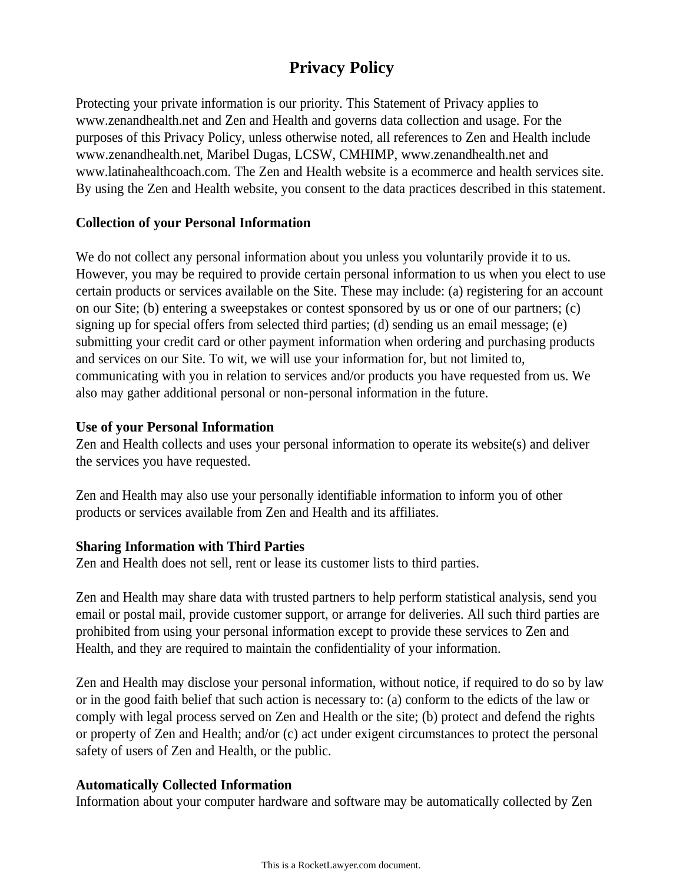# **Privacy Policy**

Protecting your private information is our priority. This Statement of Privacy applies to www.zenandhealth.net and Zen and Health and governs data collection and usage. For the purposes of this Privacy Policy, unless otherwise noted, all references to Zen and Health include www.zenandhealth.net, Maribel Dugas, LCSW, CMHIMP, www.zenandhealth.net and www.latinahealthcoach.com. The Zen and Health website is a ecommerce and health services site. By using the Zen and Health website, you consent to the data practices described in this statement.

#### **Collection of your Personal Information**

We do not collect any personal information about you unless you voluntarily provide it to us. However, you may be required to provide certain personal information to us when you elect to use certain products or services available on the Site. These may include: (a) registering for an account on our Site; (b) entering a sweepstakes or contest sponsored by us or one of our partners; (c) signing up for special offers from selected third parties; (d) sending us an email message; (e) submitting your credit card or other payment information when ordering and purchasing products and services on our Site. To wit, we will use your information for, but not limited to, communicating with you in relation to services and/or products you have requested from us. We also may gather additional personal or non-personal information in the future.

#### **Use of your Personal Information**

Zen and Health collects and uses your personal information to operate its website(s) and deliver the services you have requested.

Zen and Health may also use your personally identifiable information to inform you of other products or services available from Zen and Health and its affiliates.

#### **Sharing Information with Third Parties**

Zen and Health does not sell, rent or lease its customer lists to third parties.

Zen and Health may share data with trusted partners to help perform statistical analysis, send you email or postal mail, provide customer support, or arrange for deliveries. All such third parties are prohibited from using your personal information except to provide these services to Zen and Health, and they are required to maintain the confidentiality of your information.

Zen and Health may disclose your personal information, without notice, if required to do so by law or in the good faith belief that such action is necessary to: (a) conform to the edicts of the law or comply with legal process served on Zen and Health or the site; (b) protect and defend the rights or property of Zen and Health; and/or (c) act under exigent circumstances to protect the personal safety of users of Zen and Health, or the public.

#### **Automatically Collected Information**

Information about your computer hardware and software may be automatically collected by Zen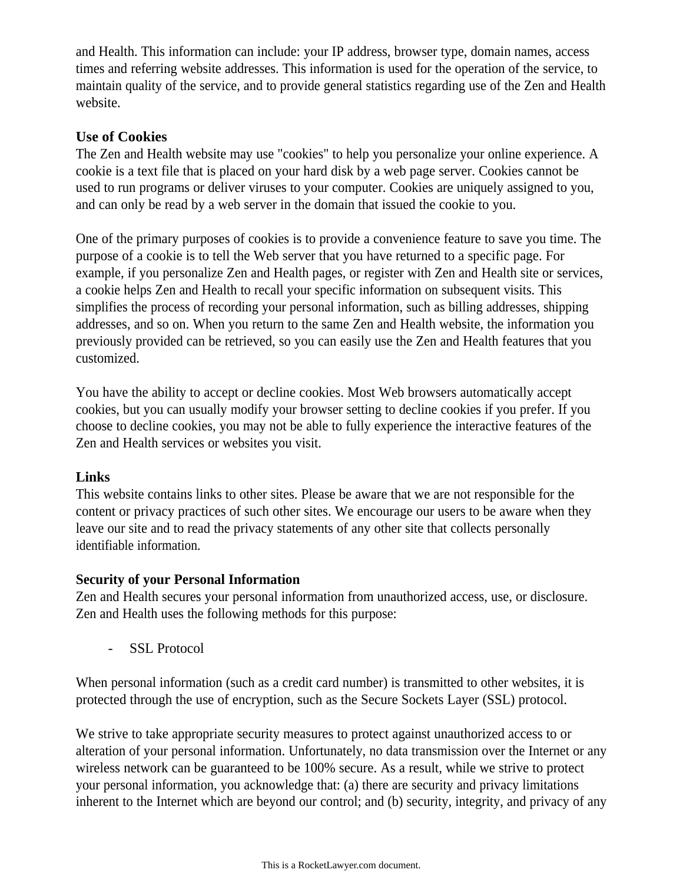and Health. This information can include: your IP address, browser type, domain names, access times and referring website addresses. This information is used for the operation of the service, to maintain quality of the service, and to provide general statistics regarding use of the Zen and Health website.

## **Use of Cookies**

The Zen and Health website may use "cookies" to help you personalize your online experience. A cookie is a text file that is placed on your hard disk by a web page server. Cookies cannot be used to run programs or deliver viruses to your computer. Cookies are uniquely assigned to you, and can only be read by a web server in the domain that issued the cookie to you.

One of the primary purposes of cookies is to provide a convenience feature to save you time. The purpose of a cookie is to tell the Web server that you have returned to a specific page. For example, if you personalize Zen and Health pages, or register with Zen and Health site or services, a cookie helps Zen and Health to recall your specific information on subsequent visits. This simplifies the process of recording your personal information, such as billing addresses, shipping addresses, and so on. When you return to the same Zen and Health website, the information you previously provided can be retrieved, so you can easily use the Zen and Health features that you customized.

You have the ability to accept or decline cookies. Most Web browsers automatically accept cookies, but you can usually modify your browser setting to decline cookies if you prefer. If you choose to decline cookies, you may not be able to fully experience the interactive features of the Zen and Health services or websites you visit.

#### **Links**

This website contains links to other sites. Please be aware that we are not responsible for the content or privacy practices of such other sites. We encourage our users to be aware when they leave our site and to read the privacy statements of any other site that collects personally identifiable information.

#### **Security of your Personal Information**

Zen and Health secures your personal information from unauthorized access, use, or disclosure. Zen and Health uses the following methods for this purpose:

- SSL Protocol

When personal information (such as a credit card number) is transmitted to other websites, it is protected through the use of encryption, such as the Secure Sockets Layer (SSL) protocol.

We strive to take appropriate security measures to protect against unauthorized access to or alteration of your personal information. Unfortunately, no data transmission over the Internet or any wireless network can be guaranteed to be 100% secure. As a result, while we strive to protect your personal information, you acknowledge that: (a) there are security and privacy limitations inherent to the Internet which are beyond our control; and (b) security, integrity, and privacy of any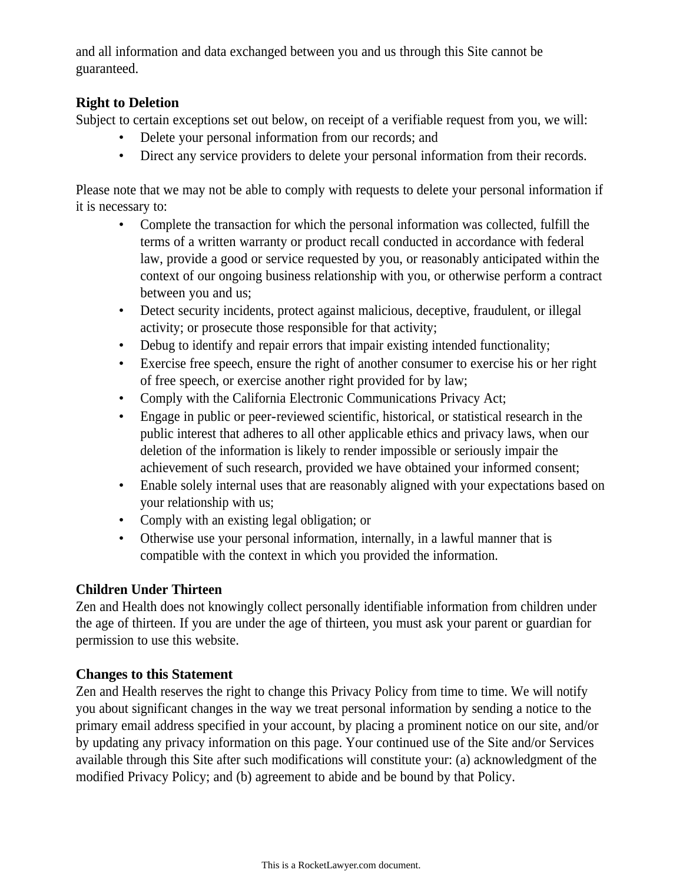and all information and data exchanged between you and us through this Site cannot be guaranteed.

## **Right to Deletion**

Subject to certain exceptions set out below, on receipt of a verifiable request from you, we will:

- Delete your personal information from our records; and
- Direct any service providers to delete your personal information from their records.

Please note that we may not be able to comply with requests to delete your personal information if it is necessary to:

- Complete the transaction for which the personal information was collected, fulfill the terms of a written warranty or product recall conducted in accordance with federal law, provide a good or service requested by you, or reasonably anticipated within the context of our ongoing business relationship with you, or otherwise perform a contract between you and us;
- Detect security incidents, protect against malicious, deceptive, fraudulent, or illegal activity; or prosecute those responsible for that activity;
- Debug to identify and repair errors that impair existing intended functionality;
- Exercise free speech, ensure the right of another consumer to exercise his or her right of free speech, or exercise another right provided for by law;
- Comply with the California Electronic Communications Privacy Act;
- Engage in public or peer-reviewed scientific, historical, or statistical research in the public interest that adheres to all other applicable ethics and privacy laws, when our deletion of the information is likely to render impossible or seriously impair the achievement of such research, provided we have obtained your informed consent;
- Enable solely internal uses that are reasonably aligned with your expectations based on your relationship with us;
- Comply with an existing legal obligation; or
- Otherwise use your personal information, internally, in a lawful manner that is compatible with the context in which you provided the information.

# **Children Under Thirteen**

Zen and Health does not knowingly collect personally identifiable information from children under the age of thirteen. If you are under the age of thirteen, you must ask your parent or guardian for permission to use this website.

# **Changes to this Statement**

Zen and Health reserves the right to change this Privacy Policy from time to time. We will notify you about significant changes in the way we treat personal information by sending a notice to the primary email address specified in your account, by placing a prominent notice on our site, and/or by updating any privacy information on this page. Your continued use of the Site and/or Services available through this Site after such modifications will constitute your: (a) acknowledgment of the modified Privacy Policy; and (b) agreement to abide and be bound by that Policy.